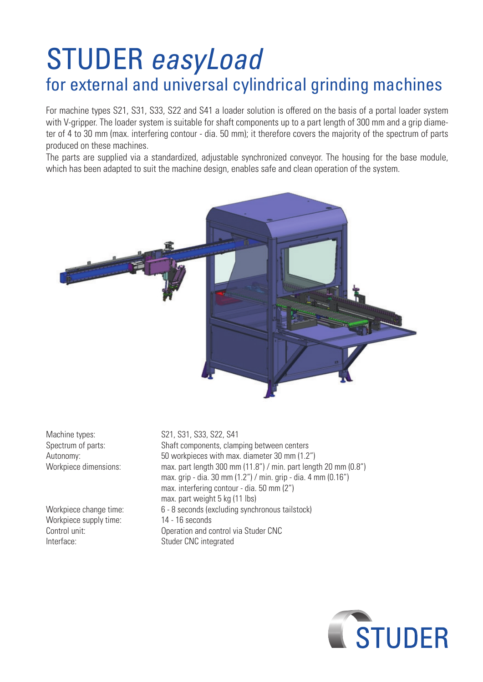## STUDER *easyLoad* for external and universal cylindrical grinding machines

For machine types S21, S31, S33, S22 and S41 a loader solution is offered on the basis of a portal loader system with V-gripper. The loader system is suitable for shaft components up to a part length of 300 mm and a grip diameter of 4 to 30 mm (max. interfering contour - dia. 50 mm); it therefore covers the majority of the spectrum of parts produced on these machines.

The parts are supplied via a standardized, adjustable synchronized conveyor. The housing for the base module, which has been adapted to suit the machine design, enables safe and clean operation of the system.



Workpiece supply time: 14 - 16 seconds Interface: Studer CNC integrated

Machine types: S21, S31, S33, S22, S41 Spectrum of parts: Shaft components, clamping between centers Autonomy: 50 workpieces with max. diameter 30 mm (1.2") Workpiece dimensions: max. part length 300 mm (11.8") / min. part length 20 mm (0.8") max. grip - dia. 30 mm (1.2") / min. grip - dia. 4 mm (0.16") max. interfering contour - dia. 50 mm (2") max. part weight 5 kg (11 lbs) Workpiece change time: 6 - 8 seconds (excluding synchronous tailstock) Control unit: Operation and control via Studer CNC